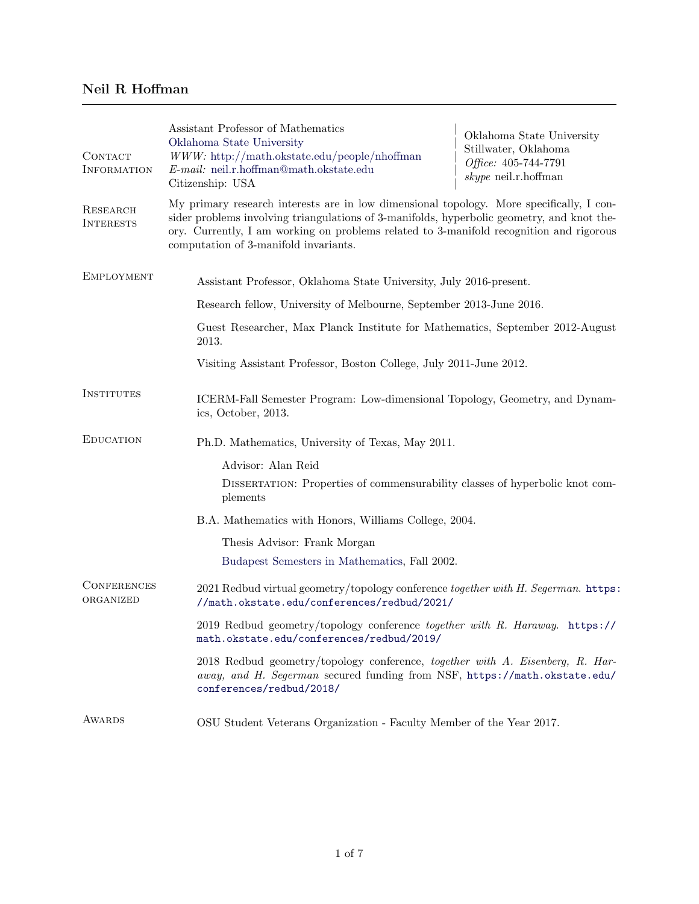## Neil R Hoffman

| CONTACT<br><b>INFORMATION</b>       | Assistant Professor of Mathematics<br>Oklahoma State University<br>$WWW$ : http://math.okstate.edu/people/nhoffman<br>$E$ -mail: neil.r.hoffman@math.okstate.edu<br>Citizenship: USA                                                                                                                                       | Oklahoma State University<br>Stillwater, Oklahoma<br>Office: 405-744-7791<br>$skype$ neil.r.hoffman |
|-------------------------------------|----------------------------------------------------------------------------------------------------------------------------------------------------------------------------------------------------------------------------------------------------------------------------------------------------------------------------|-----------------------------------------------------------------------------------------------------|
| <b>RESEARCH</b><br><b>INTERESTS</b> | My primary research interests are in low dimensional topology. More specifically, I con-<br>sider problems involving triangulations of 3-manifolds, hyperbolic geometry, and knot the-<br>ory. Currently, I am working on problems related to 3-manifold recognition and rigorous<br>computation of 3-manifold invariants. |                                                                                                     |
| <b>EMPLOYMENT</b>                   | Assistant Professor, Oklahoma State University, July 2016-present.                                                                                                                                                                                                                                                         |                                                                                                     |
|                                     | Research fellow, University of Melbourne, September 2013-June 2016.                                                                                                                                                                                                                                                        |                                                                                                     |
|                                     | Guest Researcher, Max Planck Institute for Mathematics, September 2012-August<br>2013.                                                                                                                                                                                                                                     |                                                                                                     |
|                                     | Visiting Assistant Professor, Boston College, July 2011-June 2012.                                                                                                                                                                                                                                                         |                                                                                                     |
| <b>INSTITUTES</b>                   | ICERM-Fall Semester Program: Low-dimensional Topology, Geometry, and Dynam-<br>ics, October, 2013.                                                                                                                                                                                                                         |                                                                                                     |
| <b>EDUCATION</b>                    | Ph.D. Mathematics, University of Texas, May 2011.                                                                                                                                                                                                                                                                          |                                                                                                     |
|                                     | Advisor: Alan Reid                                                                                                                                                                                                                                                                                                         |                                                                                                     |
|                                     | DISSERTATION: Properties of commensurability classes of hyperbolic knot com-<br>plements                                                                                                                                                                                                                                   |                                                                                                     |
|                                     | B.A. Mathematics with Honors, Williams College, 2004.                                                                                                                                                                                                                                                                      |                                                                                                     |
|                                     | Thesis Advisor: Frank Morgan                                                                                                                                                                                                                                                                                               |                                                                                                     |
|                                     | Budapest Semesters in Mathematics, Fall 2002.                                                                                                                                                                                                                                                                              |                                                                                                     |
| <b>CONFERENCES</b><br>ORGANIZED     | 2021 Redbud virtual geometry/topology conference together with H. Segerman. https:<br>//math.okstate.edu/conferences/redbud/2021/                                                                                                                                                                                          |                                                                                                     |
|                                     | 2019 Redbud geometry/topology conference together with R. Haraway. https://<br>math.okstate.edu/conferences/redbud/2019/                                                                                                                                                                                                   |                                                                                                     |
|                                     | 2018 Redbud geometry/topology conference, together with A. Eisenberg, R. Har-<br>away, and H. Segerman secured funding from NSF, https://math.okstate.edu/<br>conferences/redbud/2018/                                                                                                                                     |                                                                                                     |
| <b>AWARDS</b>                       | OSU Student Veterans Organization - Faculty Member of the Year 2017.                                                                                                                                                                                                                                                       |                                                                                                     |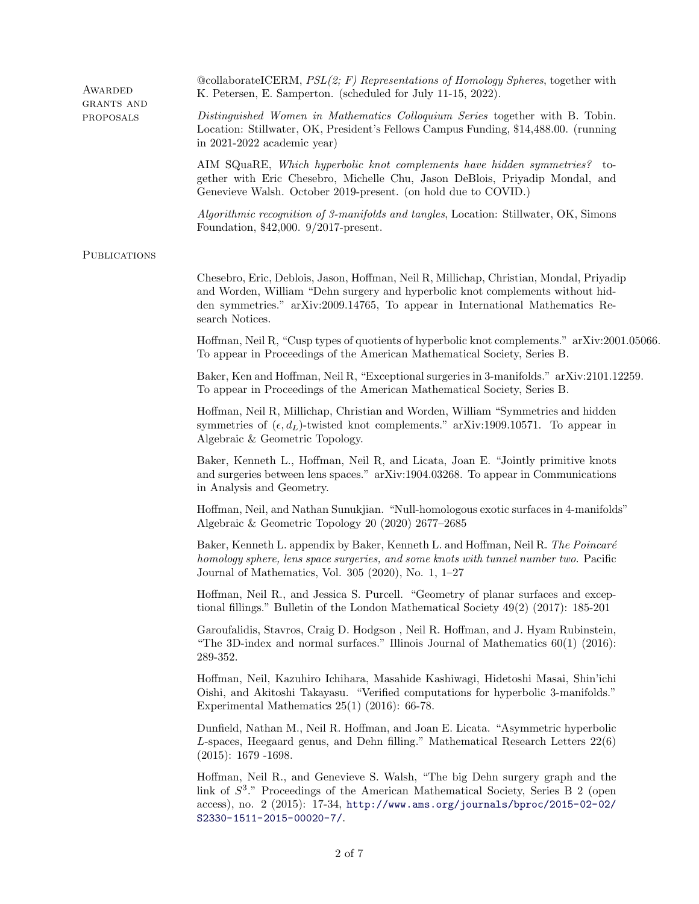| AWARDED                 | $@collaborateICERM, PSL(2; F)$ Representations of Homology Spheres, together with<br>K. Petersen, E. Samperton. (scheduled for July 11-15, 2022).                                                                                                                                |  |
|-------------------------|----------------------------------------------------------------------------------------------------------------------------------------------------------------------------------------------------------------------------------------------------------------------------------|--|
| GRANTS AND<br>PROPOSALS | Distinguished Women in Mathematics Colloquium Series together with B. Tobin.<br>Location: Stillwater, OK, President's Fellows Campus Funding, \$14,488.00. (running<br>in $2021-2022$ academic year)                                                                             |  |
|                         | AIM SQuaRE, Which hyperbolic knot complements have hidden symmetries? to-<br>gether with Eric Chesebro, Michelle Chu, Jason DeBlois, Priyadip Mondal, and<br>Genevieve Walsh. October 2019-present. (on hold due to COVID.)                                                      |  |
|                         | Algorithmic recognition of 3-manifolds and tangles, Location: Stillwater, OK, Simons<br>Foundation, \$42,000. 9/2017-present.                                                                                                                                                    |  |
| <b>PUBLICATIONS</b>     |                                                                                                                                                                                                                                                                                  |  |
|                         | Chesebro, Eric, Deblois, Jason, Hoffman, Neil R, Millichap, Christian, Mondal, Priyadip<br>and Worden, William "Dehn surgery and hyperbolic knot complements without hid-<br>den symmetries." arXiv:2009.14765, To appear in International Mathematics Re-<br>search Notices.    |  |
|                         | Hoffman, Neil R, "Cusp types of quotients of hyperbolic knot complements." arXiv:2001.05066.<br>To appear in Proceedings of the American Mathematical Society, Series B.                                                                                                         |  |
|                         | Baker, Ken and Hoffman, Neil R, "Exceptional surgeries in 3-manifolds." arXiv:2101.12259.<br>To appear in Proceedings of the American Mathematical Society, Series B.                                                                                                            |  |
|                         | Hoffman, Neil R, Millichap, Christian and Worden, William "Symmetries and hidden<br>symmetries of $(\epsilon, d_L)$ -twisted knot complements." arXiv:1909.10571. To appear in<br>Algebraic & Geometric Topology.                                                                |  |
|                         | Baker, Kenneth L., Hoffman, Neil R, and Licata, Joan E. "Jointly primitive knots<br>and surgeries between lens spaces." arXiv:1904.03268. To appear in Communications<br>in Analysis and Geometry.                                                                               |  |
|                         | Hoffman, Neil, and Nathan Sunukjian. "Null-homologous exotic surfaces in 4-manifolds"<br>Algebraic & Geometric Topology 20 (2020) 2677-2685                                                                                                                                      |  |
|                         | Baker, Kenneth L. appendix by Baker, Kenneth L. and Hoffman, Neil R. The Poincaré<br>homology sphere, lens space surgeries, and some knots with tunnel number two. Pacific<br>Journal of Mathematics, Vol. 305 (2020), No. 1, $1-27$                                             |  |
|                         | Hoffman, Neil R., and Jessica S. Purcell. "Geometry of planar surfaces and excep-<br>tional fillings." Bulletin of the London Mathematical Society 49(2) (2017): 185-201                                                                                                         |  |
|                         | Garoufalidis, Stavros, Craig D. Hodgson, Neil R. Hoffman, and J. Hyam Rubinstein,<br>"The 3D-index and normal surfaces." Illinois Journal of Mathematics $60(1)$ (2016):<br>289-352.                                                                                             |  |
|                         | Hoffman, Neil, Kazuhiro Ichihara, Masahide Kashiwagi, Hidetoshi Masai, Shin'ichi<br>Oishi, and Akitoshi Takayasu. "Verified computations for hyperbolic 3-manifolds."<br>Experimental Mathematics $25(1)$ (2016): 66-78.                                                         |  |
|                         | Dunfield, Nathan M., Neil R. Hoffman, and Joan E. Licata. "Asymmetric hyperbolic<br>$L$ -spaces, Heegaard genus, and Dehn filling." Mathematical Research Letters $22(6)$<br>$(2015): 1679 - 1698.$                                                                              |  |
|                         | Hoffman, Neil R., and Genevieve S. Walsh, "The big Dehn surgery graph and the<br>link of $S^3$ ." Proceedings of the American Mathematical Society, Series B 2 (open<br>access), no. 2 (2015): 17-34, http://www.ams.org/journals/bproc/2015-02-02/<br>S2330-1511-2015-00020-7/. |  |
|                         |                                                                                                                                                                                                                                                                                  |  |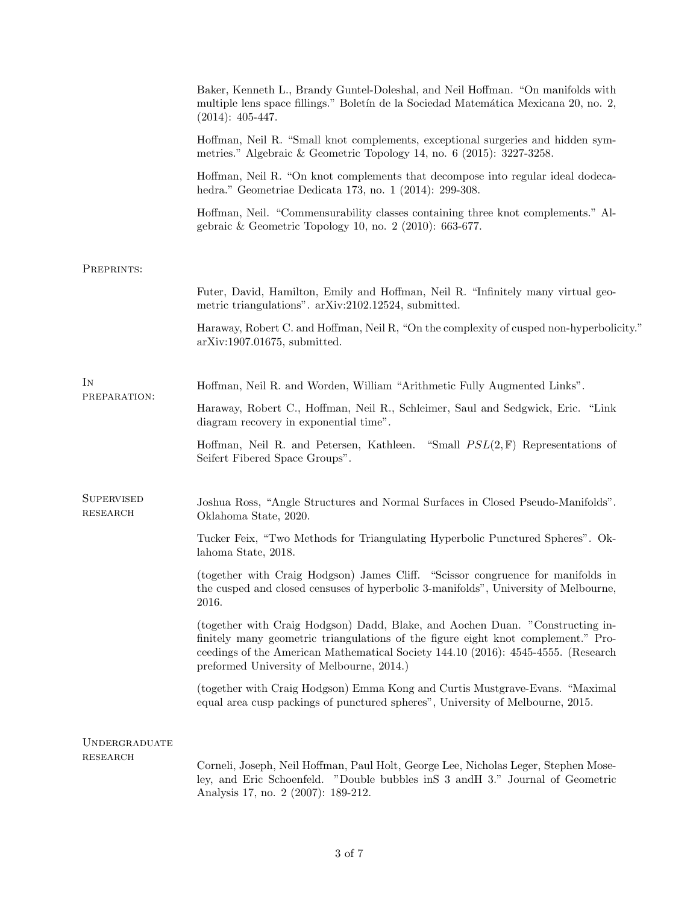|                                      | Baker, Kenneth L., Brandy Guntel-Doleshal, and Neil Hoffman. "On manifolds with<br>multiple lens space fillings." Boletín de la Sociedad Matemática Mexicana 20, no. 2,<br>$(2014): 405-447.$                                                                                                        |  |
|--------------------------------------|------------------------------------------------------------------------------------------------------------------------------------------------------------------------------------------------------------------------------------------------------------------------------------------------------|--|
|                                      | Hoffman, Neil R. "Small knot complements, exceptional surgeries and hidden sym-<br>metries." Algebraic & Geometric Topology 14, no. 6 (2015): 3227-3258.                                                                                                                                             |  |
|                                      | Hoffman, Neil R. "On knot complements that decompose into regular ideal dodeca-<br>hedra." Geometriae Dedicata 173, no. 1 (2014): 299-308.                                                                                                                                                           |  |
|                                      | Hoffman, Neil. "Commensurability classes containing three knot complements." Al-<br>gebraic & Geometric Topology 10, no. $2$ (2010): 663-677.                                                                                                                                                        |  |
| PREPRINTS:                           |                                                                                                                                                                                                                                                                                                      |  |
|                                      | Futer, David, Hamilton, Emily and Hoffman, Neil R. "Infinitely many virtual geo-<br>metric triangulations". arXiv:2102.12524, submitted.                                                                                                                                                             |  |
|                                      | Haraway, Robert C. and Hoffman, Neil R, "On the complexity of cusped non-hyperbolicity."<br>$arXiv:1907.01675$ , submitted.                                                                                                                                                                          |  |
| ΙN<br>PREPARATION:                   | Hoffman, Neil R. and Worden, William "Arithmetic Fully Augmented Links".                                                                                                                                                                                                                             |  |
|                                      | Haraway, Robert C., Hoffman, Neil R., Schleimer, Saul and Sedgwick, Eric. "Link<br>diagram recovery in exponential time".                                                                                                                                                                            |  |
|                                      | Hoffman, Neil R. and Petersen, Kathleen. "Small $PSL(2, F)$ Representations of<br>Seifert Fibered Space Groups".                                                                                                                                                                                     |  |
| <b>SUPERVISED</b><br><b>RESEARCH</b> | Joshua Ross, "Angle Structures and Normal Surfaces in Closed Pseudo-Manifolds".<br>Oklahoma State, 2020.                                                                                                                                                                                             |  |
|                                      | Tucker Feix, "Two Methods for Triangulating Hyperbolic Punctured Spheres". Ok-<br>lahoma State, 2018.                                                                                                                                                                                                |  |
|                                      | (together with Craig Hodgson) James Cliff. "Scissor congruence for manifolds in<br>the cusped and closed censuses of hyperbolic 3-manifolds", University of Melbourne,<br>2016.                                                                                                                      |  |
|                                      | (together with Craig Hodgson) Dadd, Blake, and Aochen Duan. "Constructing in-<br>finitely many geometric triangulations of the figure eight knot complement." Pro-<br>ceedings of the American Mathematical Society 144.10 (2016): 4545-4555. (Research<br>preformed University of Melbourne, 2014.) |  |
|                                      | (together with Craig Hodgson) Emma Kong and Curtis Mustgrave-Evans. "Maximal<br>equal area cusp packings of punctured spheres", University of Melbourne, 2015.                                                                                                                                       |  |
| UNDERGRADUATE<br><b>RESEARCH</b>     |                                                                                                                                                                                                                                                                                                      |  |
|                                      | Corneli, Joseph, Neil Hoffman, Paul Holt, George Lee, Nicholas Leger, Stephen Mose-<br>ley, and Eric Schoenfeld. "Double bubbles in S 3 and H 3." Journal of Geometric<br>Analysis 17, no. 2 (2007): 189-212.                                                                                        |  |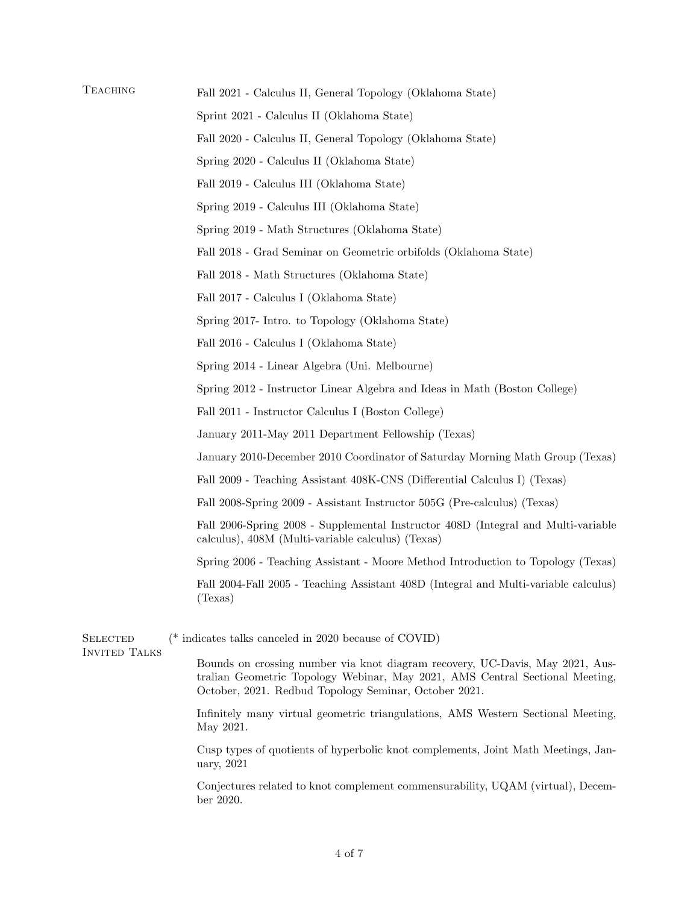| TEACHING                                | Fall 2021 - Calculus II, General Topology (Oklahoma State)<br>Sprint 2021 - Calculus II (Oklahoma State)                                                                                                               |                                              |
|-----------------------------------------|------------------------------------------------------------------------------------------------------------------------------------------------------------------------------------------------------------------------|----------------------------------------------|
|                                         |                                                                                                                                                                                                                        |                                              |
|                                         | Spring 2020 - Calculus II (Oklahoma State)                                                                                                                                                                             |                                              |
|                                         | Fall 2019 - Calculus III (Oklahoma State)                                                                                                                                                                              |                                              |
|                                         | Spring 2019 - Calculus III (Oklahoma State)                                                                                                                                                                            |                                              |
|                                         | Spring 2019 - Math Structures (Oklahoma State)                                                                                                                                                                         |                                              |
|                                         | Fall 2018 - Grad Seminar on Geometric orbifolds (Oklahoma State)                                                                                                                                                       |                                              |
|                                         |                                                                                                                                                                                                                        | Fall 2018 - Math Structures (Oklahoma State) |
|                                         | Fall 2017 - Calculus I (Oklahoma State)                                                                                                                                                                                |                                              |
|                                         | Spring 2017- Intro. to Topology (Oklahoma State)                                                                                                                                                                       |                                              |
|                                         | Fall 2016 - Calculus I (Oklahoma State)                                                                                                                                                                                |                                              |
|                                         | Spring 2014 - Linear Algebra (Uni. Melbourne)                                                                                                                                                                          |                                              |
|                                         | Spring 2012 - Instructor Linear Algebra and Ideas in Math (Boston College)                                                                                                                                             |                                              |
|                                         | Fall 2011 - Instructor Calculus I (Boston College)                                                                                                                                                                     |                                              |
|                                         | January 2011-May 2011 Department Fellowship (Texas)                                                                                                                                                                    |                                              |
|                                         | January 2010-December 2010 Coordinator of Saturday Morning Math Group (Texas)                                                                                                                                          |                                              |
|                                         | Fall 2009 - Teaching Assistant 408K-CNS (Differential Calculus I) (Texas)                                                                                                                                              |                                              |
|                                         | Fall 2008-Spring 2009 - Assistant Instructor 505G (Pre-calculus) (Texas)                                                                                                                                               |                                              |
|                                         | Fall 2006-Spring 2008 - Supplemental Instructor 408D (Integral and Multi-variable<br>calculus), 408M (Multi-variable calculus) (Texas)                                                                                 |                                              |
|                                         | Spring 2006 - Teaching Assistant - Moore Method Introduction to Topology (Texas)                                                                                                                                       |                                              |
|                                         | Fall 2004-Fall 2005 - Teaching Assistant 408D (Integral and Multi-variable calculus)<br>(Texas)                                                                                                                        |                                              |
| <b>SELECTED</b><br><b>INVITED TALKS</b> | ( $*$ indicates talks canceled in 2020 because of COVID)                                                                                                                                                               |                                              |
|                                         | Bounds on crossing number via knot diagram recovery, UC-Davis, May 2021, Aus-<br>tralian Geometric Topology Webinar, May 2021, AMS Central Sectional Meeting,<br>October, 2021. Redbud Topology Seminar, October 2021. |                                              |
|                                         | Infinitely many virtual geometric triangulations, AMS Western Sectional Meeting,<br>May 2021.                                                                                                                          |                                              |
|                                         | Cusp types of quotients of hyperbolic knot complements, Joint Math Meetings, Jan-<br>uary, 2021                                                                                                                        |                                              |
|                                         | Conjectures related to knot complement commensurability, UQAM (virtual), Decem-<br>ber 2020.                                                                                                                           |                                              |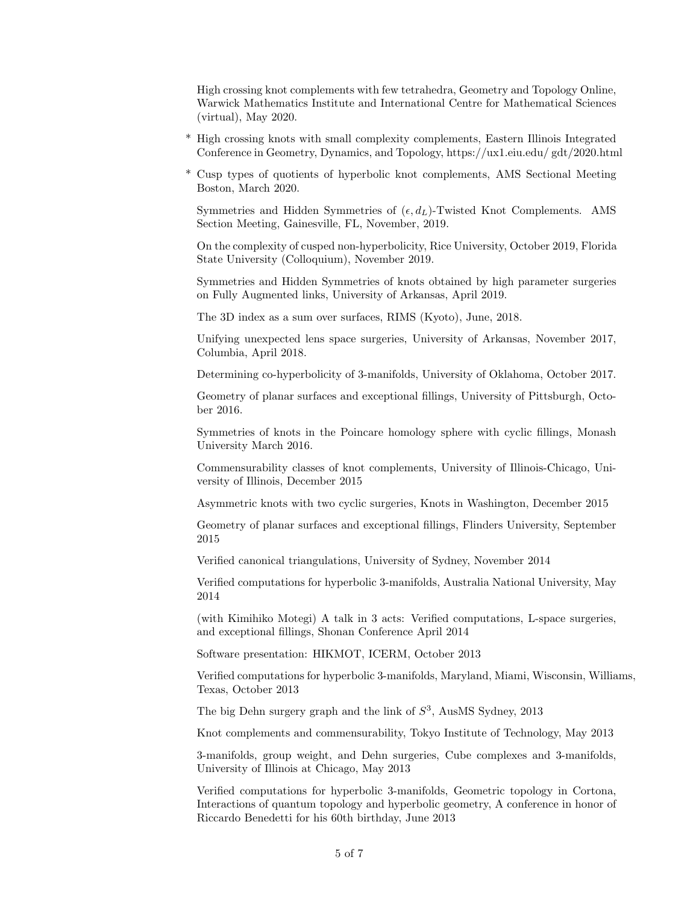High crossing knot complements with few tetrahedra, Geometry and Topology Online, Warwick Mathematics Institute and International Centre for Mathematical Sciences (virtual), May 2020.

- \* High crossing knots with small complexity complements, Eastern Illinois Integrated Conference in Geometry, Dynamics, and Topology, https://ux1.eiu.edu/ gdt/2020.html
- \* Cusp types of quotients of hyperbolic knot complements, AMS Sectional Meeting Boston, March 2020.

Symmetries and Hidden Symmetries of  $(\epsilon, d_L)$ -Twisted Knot Complements. AMS Section Meeting, Gainesville, FL, November, 2019.

On the complexity of cusped non-hyperbolicity, Rice University, October 2019, Florida State University (Colloquium), November 2019.

Symmetries and Hidden Symmetries of knots obtained by high parameter surgeries on Fully Augmented links, University of Arkansas, April 2019.

The 3D index as a sum over surfaces, RIMS (Kyoto), June, 2018.

Unifying unexpected lens space surgeries, University of Arkansas, November 2017, Columbia, April 2018.

Determining co-hyperbolicity of 3-manifolds, University of Oklahoma, October 2017.

Geometry of planar surfaces and exceptional fillings, University of Pittsburgh, October 2016.

Symmetries of knots in the Poincare homology sphere with cyclic fillings, Monash University March 2016.

Commensurability classes of knot complements, University of Illinois-Chicago, University of Illinois, December 2015

Asymmetric knots with two cyclic surgeries, Knots in Washington, December 2015

Geometry of planar surfaces and exceptional fillings, Flinders University, September 2015

Verified canonical triangulations, University of Sydney, November 2014

Verified computations for hyperbolic 3-manifolds, Australia National University, May 2014

(with Kimihiko Motegi) A talk in 3 acts: Verified computations, L-space surgeries, and exceptional fillings, Shonan Conference April 2014

Software presentation: HIKMOT, ICERM, October 2013

Verified computations for hyperbolic 3-manifolds, Maryland, Miami, Wisconsin, Williams, Texas, October 2013

The big Dehn surgery graph and the link of  $S^3$ , AusMS Sydney, 2013

Knot complements and commensurability, Tokyo Institute of Technology, May 2013

3-manifolds, group weight, and Dehn surgeries, Cube complexes and 3-manifolds, University of Illinois at Chicago, May 2013

Verified computations for hyperbolic 3-manifolds, Geometric topology in Cortona, Interactions of quantum topology and hyperbolic geometry, A conference in honor of Riccardo Benedetti for his 60th birthday, June 2013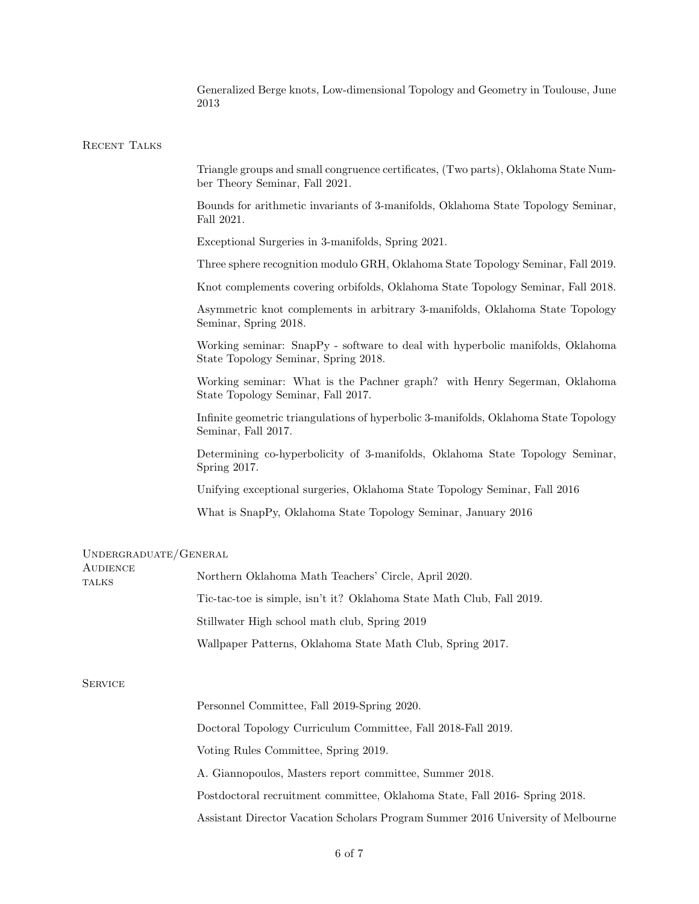Generalized Berge knots, Low-dimensional Topology and Geometry in Toulouse, June 2013

## RECENT TALKS

Triangle groups and small congruence certificates, (Two parts), Oklahoma State Number Theory Seminar, Fall 2021.

Bounds for arithmetic invariants of 3-manifolds, Oklahoma State Topology Seminar, Fall 2021.

Exceptional Surgeries in 3-manifolds, Spring 2021.

Three sphere recognition modulo GRH, Oklahoma State Topology Seminar, Fall 2019.

Knot complements covering orbifolds, Oklahoma State Topology Seminar, Fall 2018.

Asymmetric knot complements in arbitrary 3-manifolds, Oklahoma State Topology Seminar, Spring 2018.

Working seminar: SnapPy - software to deal with hyperbolic manifolds, Oklahoma State Topology Seminar, Spring 2018.

Working seminar: What is the Pachner graph? with Henry Segerman, Oklahoma State Topology Seminar, Fall 2017.

Infinite geometric triangulations of hyperbolic 3-manifolds, Oklahoma State Topology Seminar, Fall 2017.

Determining co-hyperbolicity of 3-manifolds, Oklahoma State Topology Seminar, Spring 2017.

Unifying exceptional surgeries, Oklahoma State Topology Seminar, Fall 2016

What is SnapPy, Oklahoma State Topology Seminar, January 2016

## Undergraduate/General

| <b>AUDIENCE</b><br><b>TALKS</b> | Northern Oklahoma Math Teachers' Circle, April 2020.                  |  |
|---------------------------------|-----------------------------------------------------------------------|--|
|                                 | Tic-tac-toe is simple, isn't it? Oklahoma State Math Club, Fall 2019. |  |
|                                 | Stillwater High school math club, Spring 2019                         |  |
|                                 | Wallpaper Patterns, Oklahoma State Math Club, Spring 2017.            |  |
|                                 |                                                                       |  |

## **SERVICE**

 $A$ udience

Personnel Committee, Fall 2019-Spring 2020. Doctoral Topology Curriculum Committee, Fall 2018-Fall 2019. Voting Rules Committee, Spring 2019. A. Giannopoulos, Masters report committee, Summer 2018. Postdoctoral recruitment committee, Oklahoma State, Fall 2016- Spring 2018. Assistant Director Vacation Scholars Program Summer 2016 University of Melbourne